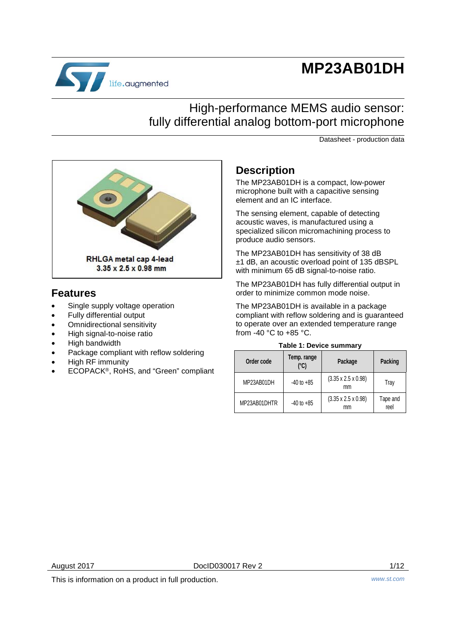# **MP23AB01DH**



# High-performance MEMS audio sensor: fully differential analog bottom-port microphone

Datasheet - production data



### **Features**

- Single supply voltage operation
- Fully differential output
- Omnidirectional sensitivity
- High signal-to-noise ratio
- High bandwidth
- Package compliant with reflow soldering
- High RF immunity
- ECOPACK®, RoHS, and "Green" compliant

### **Description**

The MP23AB01DH is a compact, low-power microphone built with a capacitive sensing element and an IC interface.

The sensing element, capable of detecting acoustic waves, is manufactured using a specialized silicon micromachining process to produce audio sensors.

The MP23AB01DH has sensitivity of 38 dB ±1 dB, an acoustic overload point of 135 dBSPL with minimum 65 dB signal-to-noise ratio.

The MP23AB01DH has fully differential output in order to minimize common mode noise.

The MP23AB01DH is available in a package compliant with reflow soldering and is guaranteed to operate over an extended temperature range from -40 °C to +85 °C.

#### **Table 1: Device summary**

| Order code   | Temp. range<br>(°C) | Package                               | Packing          |
|--------------|---------------------|---------------------------------------|------------------|
| MP23AB01DH   | $-40$ to $+85$      | $(3.35 \times 2.5 \times 0.98)$<br>mm | Tray             |
| MP23AB01DHTR | $-40$ to $+85$      | $(3.35 \times 2.5 \times 0.98)$<br>mm | Tape and<br>reel |

This is information on a product in full production. *www.st.com*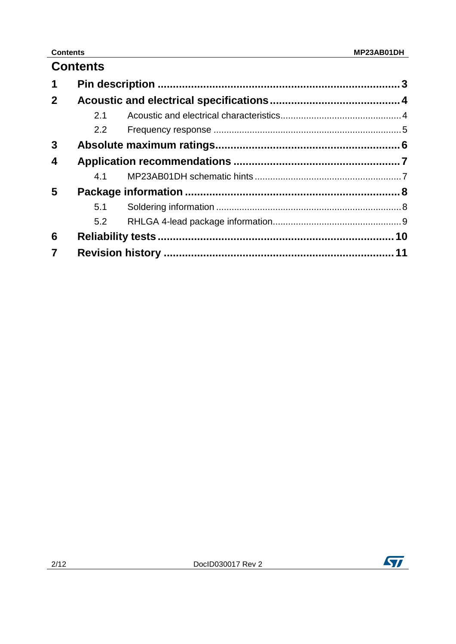|                         | <b>Contents</b> |  |
|-------------------------|-----------------|--|
| 1                       |                 |  |
| $2^{\circ}$             |                 |  |
|                         | 2.1             |  |
|                         | 2.2             |  |
| 3                       |                 |  |
| 4                       |                 |  |
|                         | 4.1             |  |
| 5                       |                 |  |
|                         | 5.1             |  |
|                         | 5.2             |  |
| 6                       |                 |  |
| $\overline{\mathbf{7}}$ |                 |  |

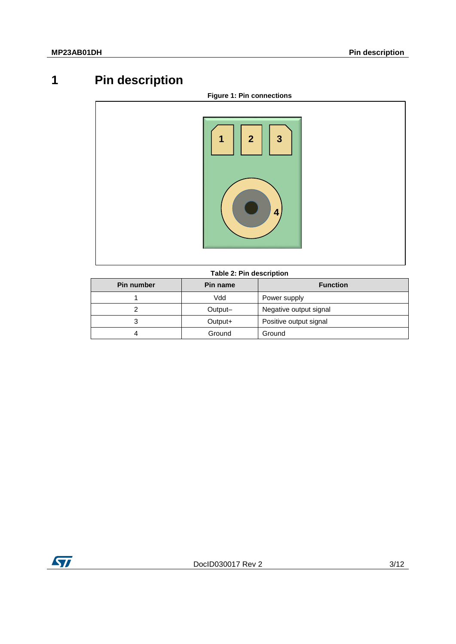# **1 Pin description**

<span id="page-2-0"></span>

#### **Table 2: Pin description**

| <b>Pin number</b> | <b>Pin name</b> | <b>Function</b>        |
|-------------------|-----------------|------------------------|
|                   | Vdd             | Power supply           |
|                   | Output-         | Negative output signal |
|                   | Output+         | Positive output signal |
|                   | Ground          | Ground                 |

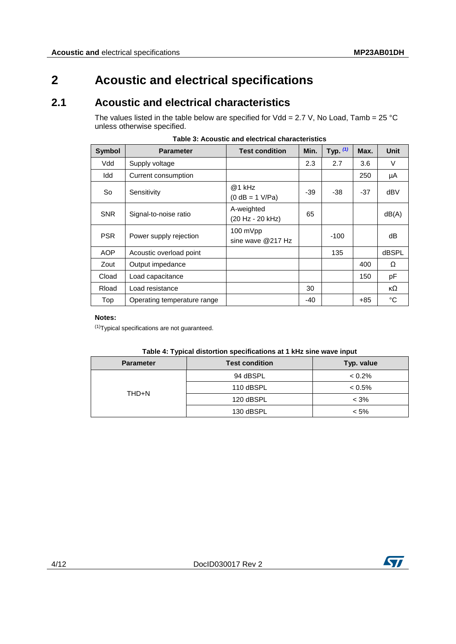### <span id="page-3-0"></span>**2 Acoustic and electrical specifications**

### **2.1 Acoustic and electrical characteristics**

<span id="page-3-1"></span>The values listed in the table below are specified for Vdd = 2.7 V, No Load, Tamb = 25 °C unless otherwise specified.

| <b>Symbol</b> | <b>Parameter</b>            | <b>Test condition</b>                   | Min.  | Typ. $(1)$ | Max.  | <b>Unit</b> |
|---------------|-----------------------------|-----------------------------------------|-------|------------|-------|-------------|
| Vdd           | Supply voltage              |                                         | 2.3   | 2.7        | 3.6   | V           |
| Idd           | Current consumption         |                                         |       |            | 250   | μA          |
| So            | Sensitivity                 | $@1$ kHz<br>$(0 dB = 1 V/Pa)$           | -39   | -38        | $-37$ | dBV         |
| <b>SNR</b>    | Signal-to-noise ratio       | A-weighted<br>(20 Hz - 20 kHz)          | 65    |            |       | dB(A)       |
| <b>PSR</b>    | Power supply rejection      | $100 \text{ mVpp}$<br>sine wave @217 Hz |       | $-100$     |       | dB          |
| <b>AOP</b>    | Acoustic overload point     |                                         |       | 135        |       | dBSPL       |
| Zout          | Output impedance            |                                         |       |            | 400   | Ω           |
| Cload         | Load capacitance            |                                         |       |            | 150   | рF          |
| Rload         | Load resistance             |                                         | 30    |            |       | кΩ          |
| Top           | Operating temperature range |                                         | $-40$ |            | +85   | °C          |

#### **Notes:**

<span id="page-3-2"></span>(1)Typical specifications are not guaranteed.

| --               |                       |            |
|------------------|-----------------------|------------|
| <b>Parameter</b> | <b>Test condition</b> | Typ. value |
| THD+N            | 94 dBSPL              | $< 0.2\%$  |
|                  | 110 dBSPL             | $< 0.5\%$  |
|                  | 120 dBSPL             | $< 3\%$    |
|                  | 130 dBSPL             | < 5%       |

#### **Table 4: Typical distortion specifications at 1 kHz sine wave input**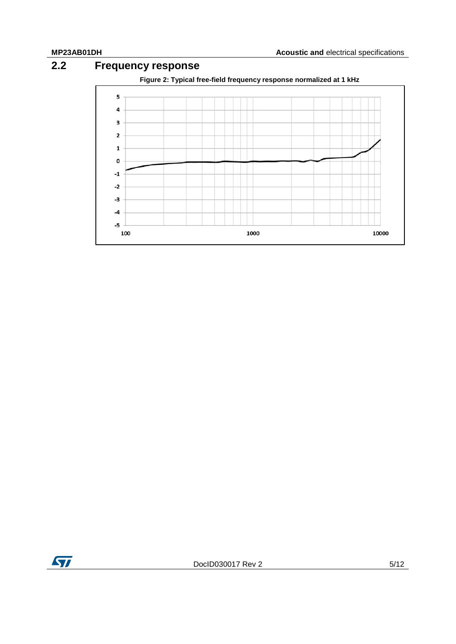### **2.2 Frequency response**

<span id="page-4-0"></span>

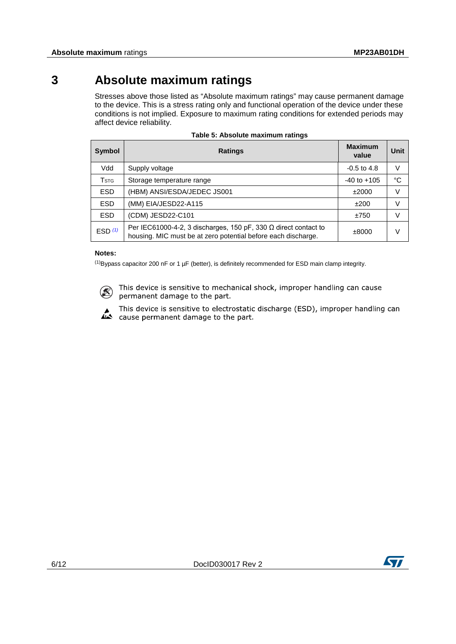# **3 Absolute maximum ratings**

<span id="page-5-0"></span>Stresses above those listed as "Absolute maximum ratings" may cause permanent damage to the device. This is a stress rating only and functional operation of the device under these conditions is not implied. Exposure to maximum rating conditions for extended periods may affect device reliability.

| <b>Symbol</b>             | <b>Ratings</b>                                                                                                                          | <b>Maximum</b><br>value | Unit   |
|---------------------------|-----------------------------------------------------------------------------------------------------------------------------------------|-------------------------|--------|
| Vdd                       | Supply voltage                                                                                                                          | $-0.5$ to 4.8           | v      |
| $\mathsf{T}_{\text{STG}}$ | Storage temperature range                                                                                                               | $-40$ to $+105$         | °C     |
| <b>ESD</b>                | (HBM) ANSI/ESDA/JEDEC JS001                                                                                                             | ±2000                   | V      |
| <b>ESD</b>                | (MM) EIA/JESD22-A115                                                                                                                    | ±200                    | $\vee$ |
| <b>ESD</b>                | (CDM) JESD22-C101                                                                                                                       | ±750                    | V      |
| ESD $(1)$                 | Per IEC61000-4-2, 3 discharges, 150 pF, 330 $\Omega$ direct contact to<br>housing. MIC must be at zero potential before each discharge. | $\pm 8000$              | V      |

|  | Table 5: Absolute maximum ratings |  |
|--|-----------------------------------|--|
|  |                                   |  |

#### **Notes:**

<span id="page-5-1"></span> $<sup>(1)</sup>$ Bypass capacitor 200 nF or 1 µF (better), is definitely recommended for ESD main clamp integrity.</sup>



This device is sensitive to mechanical shock, improper handling can cause permanent damage to the part.



This device is sensitive to electrostatic discharge (ESD), improper handling can a This device is sensitive to electrostatic<br>cause permanent damage to the part.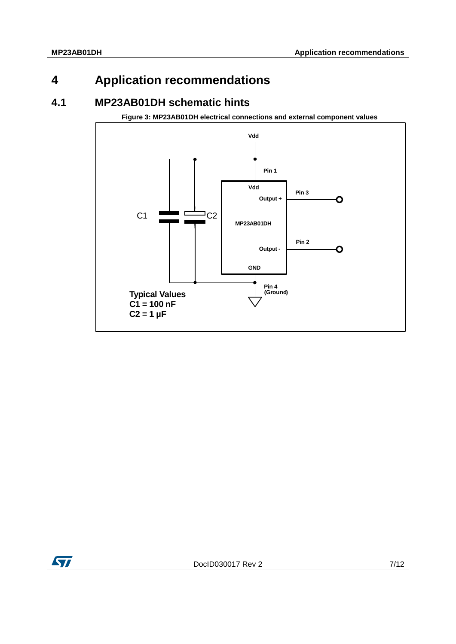# <span id="page-6-0"></span>**4 Application recommendations**

### **4.1 MP23AB01DH schematic hints**

<span id="page-6-1"></span>**Figure 3: MP23AB01DH electrical connections and external component values**

<span id="page-6-2"></span>

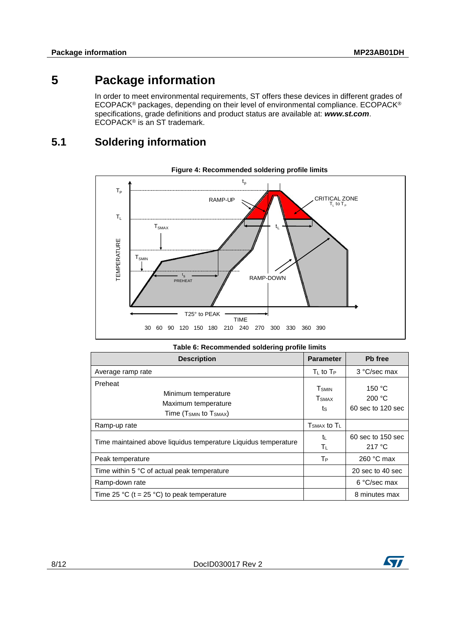## **5 Package information**

<span id="page-7-0"></span>In order to meet environmental requirements, ST offers these devices in different grades of ECOPACK® packages, depending on their level of environmental compliance. ECOPACK® specifications, grade definitions and product status are available at: *www.st.com*. ECOPACK® is an ST trademark.

### **5.1 Soldering information**

<span id="page-7-1"></span>

| <b>1996 of McCommichaea Solaering prome immed</b>                                                       |                                                 |                                       |  |  |
|---------------------------------------------------------------------------------------------------------|-------------------------------------------------|---------------------------------------|--|--|
| <b>Description</b>                                                                                      | <b>Parameter</b>                                | Pb free                               |  |  |
| Average ramp rate                                                                                       | $T_{L}$ to $T_{P}$                              | 3 °C/sec max                          |  |  |
| Preheat<br>Minimum temperature<br>Maximum temperature<br>Time (T <sub>SMIN</sub> to T <sub>SMAX</sub> ) | <b>T</b> <sub>SMIN</sub><br><b>T</b> SMAX<br>ts | 150 °C<br>200 °C<br>60 sec to 120 sec |  |  |
| Ramp-up rate                                                                                            | $T_{\text{SMAX}}$ to $T_{\text{L}}$             |                                       |  |  |
| Time maintained above liquidus temperature Liquidus temperature                                         | tı.<br>Tυ                                       | 60 sec to 150 sec<br>217 °C           |  |  |
| Peak temperature                                                                                        | T <sub>P</sub>                                  | 260 $\degree$ C max                   |  |  |
| Time within 5 °C of actual peak temperature                                                             |                                                 | 20 sec to 40 sec                      |  |  |
| Ramp-down rate                                                                                          |                                                 | 6 °C/sec max                          |  |  |
| Time 25 °C (t = 25 °C) to peak temperature                                                              |                                                 | 8 minutes max                         |  |  |

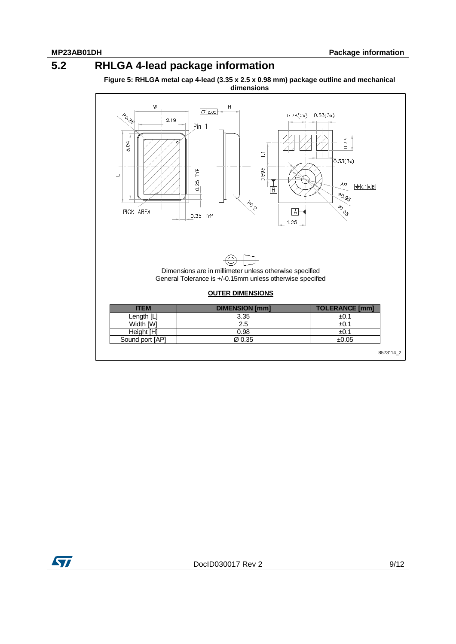## **5.2 RHLGA 4-lead package information**

<span id="page-8-0"></span>**Figure 5: RHLGA metal cap 4-lead (3.35 x 2.5 x 0.98 mm) package outline and mechanical dimensions**



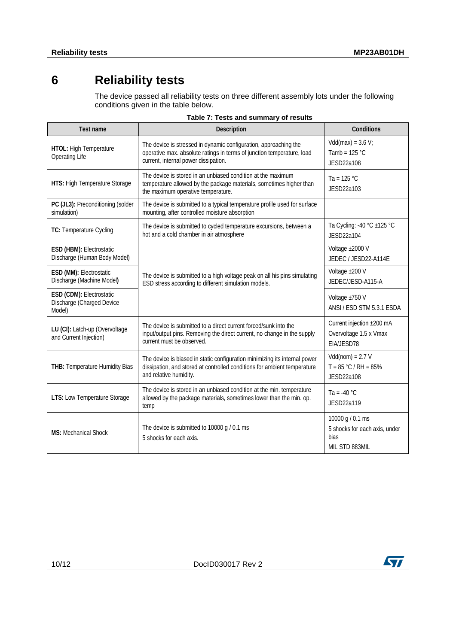# **6 Reliability tests**

<span id="page-9-0"></span>The device passed all reliability tests on three different assembly lots under the following conditions given in the table below.

| <b>Test name</b>                                                | <b>Description</b>                                                                                                                                                                 | <b>Conditions</b>                                                           |
|-----------------------------------------------------------------|------------------------------------------------------------------------------------------------------------------------------------------------------------------------------------|-----------------------------------------------------------------------------|
| <b>HTOL:</b> High Temperature<br>Operating Life                 | The device is stressed in dynamic configuration, approaching the<br>operative max. absolute ratings in terms of junction temperature, load<br>current, internal power dissipation. | $Vdd(max) = 3.6 V$ ;<br>Tamb = $125 °C$<br>JESD22a108                       |
| HTS: High Temperature Storage                                   | The device is stored in an unbiased condition at the maximum<br>temperature allowed by the package materials, sometimes higher than<br>the maximum operative temperature.          | Ta = $125 °C$<br>JESD22a103                                                 |
| PC (JL3): Preconditioning (solder<br>simulation)                | The device is submitted to a typical temperature profile used for surface<br>mounting, after controlled moisture absorption                                                        |                                                                             |
| TC: Temperature Cycling                                         | The device is submitted to cycled temperature excursions, between a<br>hot and a cold chamber in air atmosphere                                                                    | Ta Cycling: -40 °C ±125 °C<br>JESD22a104                                    |
| ESD (HBM): Electrostatic<br>Discharge (Human Body Model)        |                                                                                                                                                                                    | Voltage ±2000 V<br>JEDEC / JESD22-A114E                                     |
| ESD (MM): Electrostatic<br>Discharge (Machine Model)            | The device is submitted to a high voltage peak on all his pins simulating<br>ESD stress according to different simulation models.                                                  | Voltage ±200 V<br>JEDEC/JESD-A115-A                                         |
| ESD (CDM): Electrostatic<br>Discharge (Charged Device<br>Model) |                                                                                                                                                                                    | Voltage ±750 V<br>ANSI / ESD STM 5.3.1 ESDA                                 |
| LU (CI): Latch-up (Overvoltage<br>and Current Injection)        | The device is submitted to a direct current forced/sunk into the<br>input/output pins. Removing the direct current, no change in the supply<br>current must be observed.           | Current injection ±200 mA<br>Overvoltage 1.5 x Vmax<br>EIA/JESD78           |
| <b>THB: Temperature Humidity Bias</b>                           | The device is biased in static configuration minimizing its internal power<br>dissipation, and stored at controlled conditions for ambient temperature<br>and relative humidity.   | $Vdd(nom) = 2.7 V$<br>$T = 85 °C / RH = 85%$<br>JESD22a108                  |
| <b>LTS: Low Temperature Storage</b>                             | The device is stored in an unbiased condition at the min. temperature<br>allowed by the package materials, sometimes lower than the min. op.<br>temp                               | Ta = -40 $^{\circ}$ C<br>JESD22a119                                         |
| <b>MS: Mechanical Shock</b>                                     | The device is submitted to 10000 g / 0.1 ms<br>5 shocks for each axis.                                                                                                             | 10000 g / 0.1 ms<br>5 shocks for each axis, under<br>bias<br>MIL STD 883MIL |

#### **Table 7: Tests and summary of results**

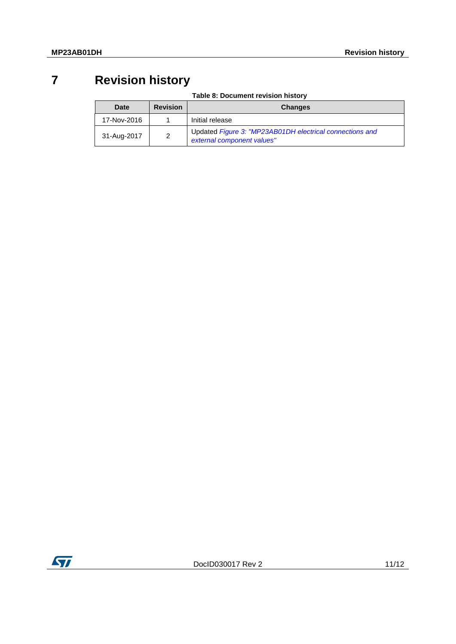# **7 Revision history**

**Table 8: Document revision history**

<span id="page-10-0"></span>

| Date        | <b>Revision</b> | <b>Changes</b>                                                                         |
|-------------|-----------------|----------------------------------------------------------------------------------------|
| 17-Nov-2016 |                 | Initial release                                                                        |
| 31-Aug-2017 |                 | Updated Figure 3: "MP23AB01DH electrical connections and<br>external component values" |

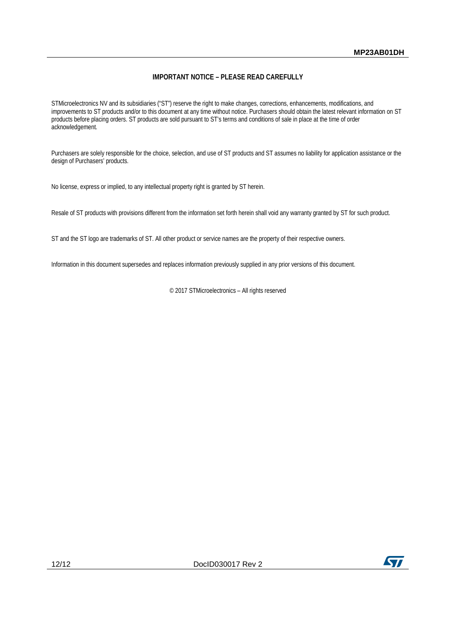#### **IMPORTANT NOTICE – PLEASE READ CAREFULLY**

STMicroelectronics NV and its subsidiaries ("ST") reserve the right to make changes, corrections, enhancements, modifications, and improvements to ST products and/or to this document at any time without notice. Purchasers should obtain the latest relevant information on ST products before placing orders. ST products are sold pursuant to ST's terms and conditions of sale in place at the time of order acknowledgement.

Purchasers are solely responsible for the choice, selection, and use of ST products and ST assumes no liability for application assistance or the design of Purchasers' products.

No license, express or implied, to any intellectual property right is granted by ST herein.

Resale of ST products with provisions different from the information set forth herein shall void any warranty granted by ST for such product.

ST and the ST logo are trademarks of ST. All other product or service names are the property of their respective owners.

Information in this document supersedes and replaces information previously supplied in any prior versions of this document.

© 2017 STMicroelectronics – All rights reserved